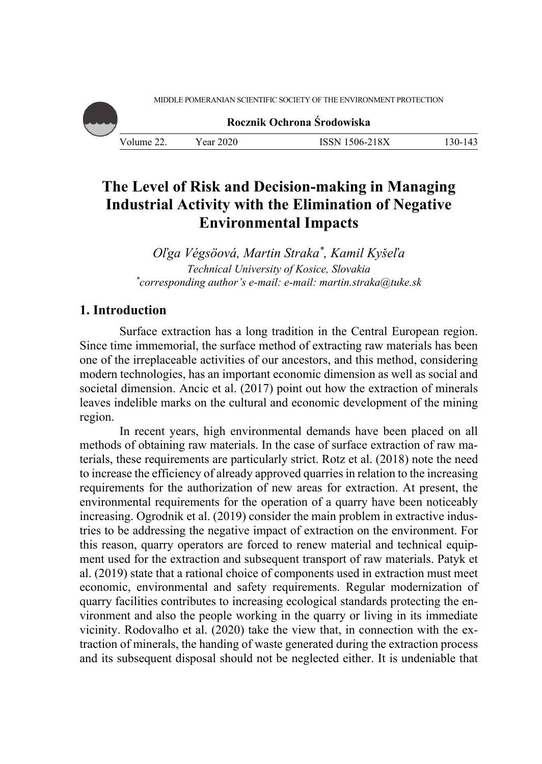MIDDLE POMERANIAN SCIENTIFIC SOCIETY OF THE ENVIRONMENT PROTECTION



**Rocznik Ochrona Środowiska**

# **The Level of Risk and Decision-making in Managing Industrial Activity with the Elimination of Negative Environmental Impacts**

*Oľga Végsöová, Martin Straka\*, Kamil Kyšeľa Technical University of Kosice, Slovakia \* corresponding author's e-mail: e-mail: martin.straka@tuke.sk*

# **1. Introduction**

Surface extraction has a long tradition in the Central European region. Since time immemorial, the surface method of extracting raw materials has been one of the irreplaceable activities of our ancestors, and this method, considering modern technologies, has an important economic dimension as well as social and societal dimension. Ancic et al. (2017) point out how the extraction of minerals leaves indelible marks on the cultural and economic development of the mining region.

In recent years, high environmental demands have been placed on all methods of obtaining raw materials. In the case of surface extraction of raw materials, these requirements are particularly strict. Rotz et al. (2018) note the need to increase the efficiency of already approved quarries in relation to the increasing requirements for the authorization of new areas for extraction. At present, the environmental requirements for the operation of a quarry have been noticeably increasing. Ogrodnik et al. (2019) consider the main problem in extractive industries to be addressing the negative impact of extraction on the environment. For this reason, quarry operators are forced to renew material and technical equipment used for the extraction and subsequent transport of raw materials. Patyk et al. (2019) state that a rational choice of components used in extraction must meet economic, environmental and safety requirements. Regular modernization of quarry facilities contributes to increasing ecological standards protecting the environment and also the people working in the quarry or living in its immediate vicinity. Rodovalho et al. (2020) take the view that, in connection with the extraction of minerals, the handing of waste generated during the extraction process and its subsequent disposal should not be neglected either. It is undeniable that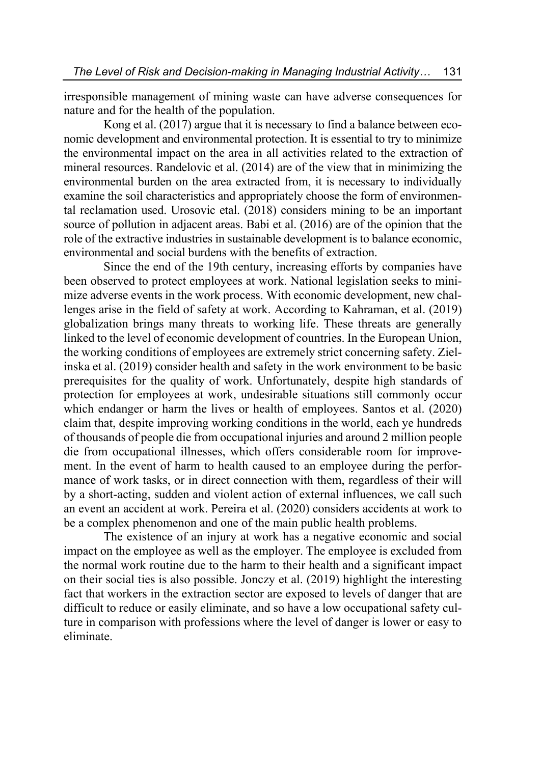irresponsible management of mining waste can have adverse consequences for nature and for the health of the population.

Kong et al. (2017) argue that it is necessary to find a balance between economic development and environmental protection. It is essential to try to minimize the environmental impact on the area in all activities related to the extraction of mineral resources. Randelovic et al. (2014) are of the view that in minimizing the environmental burden on the area extracted from, it is necessary to individually examine the soil characteristics and appropriately choose the form of environmental reclamation used. Urosovic etal. (2018) considers mining to be an important source of pollution in adjacent areas. Babi et al. (2016) are of the opinion that the role of the extractive industries in sustainable development is to balance economic, environmental and social burdens with the benefits of extraction.

Since the end of the 19th century, increasing efforts by companies have been observed to protect employees at work. National legislation seeks to minimize adverse events in the work process. With economic development, new challenges arise in the field of safety at work. According to Kahraman, et al. (2019) globalization brings many threats to working life. These threats are generally linked to the level of economic development of countries. In the European Union, the working conditions of employees are extremely strict concerning safety. Zielinska et al. (2019) consider health and safety in the work environment to be basic prerequisites for the quality of work. Unfortunately, despite high standards of protection for employees at work, undesirable situations still commonly occur which endanger or harm the lives or health of employees. Santos et al. (2020) claim that, despite improving working conditions in the world, each ye hundreds of thousands of people die from occupational injuries and around 2 million people die from occupational illnesses, which offers considerable room for improvement. In the event of harm to health caused to an employee during the performance of work tasks, or in direct connection with them, regardless of their will by a short-acting, sudden and violent action of external influences, we call such an event an accident at work. Pereira et al. (2020) considers accidents at work to be a complex phenomenon and one of the main public health problems.

The existence of an injury at work has a negative economic and social impact on the employee as well as the employer. The employee is excluded from the normal work routine due to the harm to their health and a significant impact on their social ties is also possible. Jonczy et al. (2019) highlight the interesting fact that workers in the extraction sector are exposed to levels of danger that are difficult to reduce or easily eliminate, and so have a low occupational safety culture in comparison with professions where the level of danger is lower or easy to eliminate.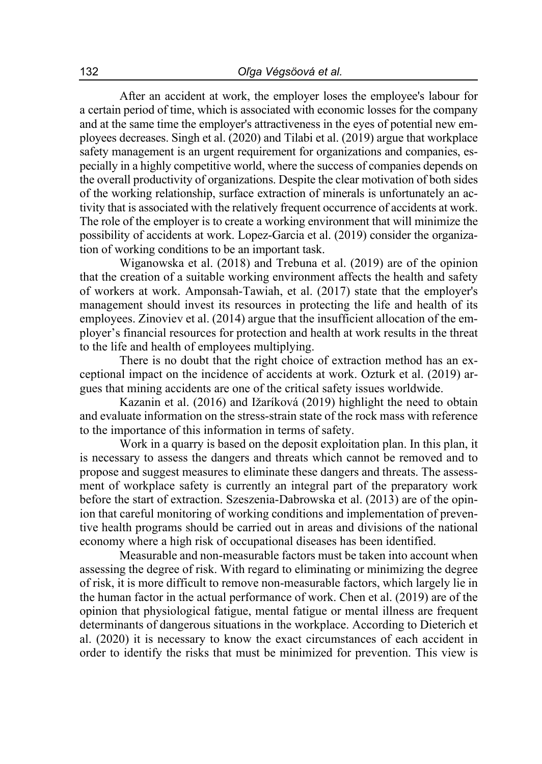After an accident at work, the employer loses the employee's labour for a certain period of time, which is associated with economic losses for the company and at the same time the employer's attractiveness in the eyes of potential new employees decreases. Singh et al. (2020) and Tilabi et al. (2019) argue that workplace safety management is an urgent requirement for organizations and companies, especially in a highly competitive world, where the success of companies depends on the overall productivity of organizations. Despite the clear motivation of both sides of the working relationship, surface extraction of minerals is unfortunately an activity that is associated with the relatively frequent occurrence of accidents at work. The role of the employer is to create a working environment that will minimize the possibility of accidents at work. Lopez-Garcia et al. (2019) consider the organization of working conditions to be an important task.

Wiganowska et al. (2018) and Trebuna et al. (2019) are of the opinion that the creation of a suitable working environment affects the health and safety of workers at work. Amponsah-Tawiah, et al. (2017) state that the employer's management should invest its resources in protecting the life and health of its employees. Zinoviev et al. (2014) argue that the insufficient allocation of the employer's financial resources for protection and health at work results in the threat to the life and health of employees multiplying.

There is no doubt that the right choice of extraction method has an exceptional impact on the incidence of accidents at work. Ozturk et al. (2019) argues that mining accidents are one of the critical safety issues worldwide.

Kazanin et al. (2016) and Ižaríková (2019) highlight the need to obtain and evaluate information on the stress-strain state of the rock mass with reference to the importance of this information in terms of safety.

Work in a quarry is based on the deposit exploitation plan. In this plan, it is necessary to assess the dangers and threats which cannot be removed and to propose and suggest measures to eliminate these dangers and threats. The assessment of workplace safety is currently an integral part of the preparatory work before the start of extraction. Szeszenia-Dabrowska et al. (2013) are of the opinion that careful monitoring of working conditions and implementation of preventive health programs should be carried out in areas and divisions of the national economy where a high risk of occupational diseases has been identified.

Measurable and non-measurable factors must be taken into account when assessing the degree of risk. With regard to eliminating or minimizing the degree of risk, it is more difficult to remove non-measurable factors, which largely lie in the human factor in the actual performance of work. Chen et al. (2019) are of the opinion that physiological fatigue, mental fatigue or mental illness are frequent determinants of dangerous situations in the workplace. According to Dieterich et al. (2020) it is necessary to know the exact circumstances of each accident in order to identify the risks that must be minimized for prevention. This view is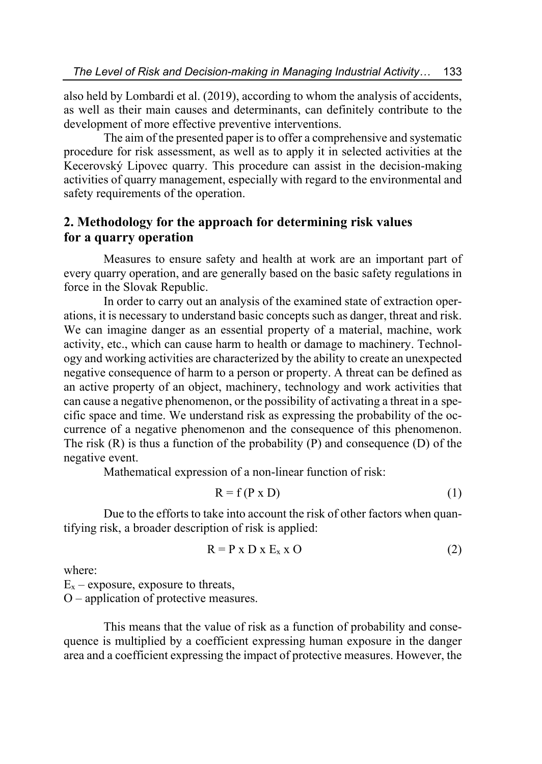also held by Lombardi et al. (2019), according to whom the analysis of accidents, as well as their main causes and determinants, can definitely contribute to the development of more effective preventive interventions.

The aim of the presented paper is to offer a comprehensive and systematic procedure for risk assessment, as well as to apply it in selected activities at the Kecerovský Lipovec quarry. This procedure can assist in the decision-making activities of quarry management, especially with regard to the environmental and safety requirements of the operation.

## **2. Methodology for the approach for determining risk values for a quarry operation**

Measures to ensure safety and health at work are an important part of every quarry operation, and are generally based on the basic safety regulations in force in the Slovak Republic.

In order to carry out an analysis of the examined state of extraction operations, it is necessary to understand basic concepts such as danger, threat and risk. We can imagine danger as an essential property of a material, machine, work activity, etc., which can cause harm to health or damage to machinery. Technology and working activities are characterized by the ability to create an unexpected negative consequence of harm to a person or property. A threat can be defined as an active property of an object, machinery, technology and work activities that can cause a negative phenomenon, or the possibility of activating a threat in a specific space and time. We understand risk as expressing the probability of the occurrence of a negative phenomenon and the consequence of this phenomenon. The risk  $(R)$  is thus a function of the probability  $(P)$  and consequence  $(D)$  of the negative event.

Mathematical expression of a non-linear function of risk:

$$
R = f(P \times D) \tag{1}
$$

Due to the efforts to take into account the risk of other factors when quantifying risk, a broader description of risk is applied:

$$
R = P \times D \times E_x \times O \tag{2}
$$

where:

 $E_x$  – exposure, exposure to threats,

O – application of protective measures.

This means that the value of risk as a function of probability and consequence is multiplied by a coefficient expressing human exposure in the danger area and a coefficient expressing the impact of protective measures. However, the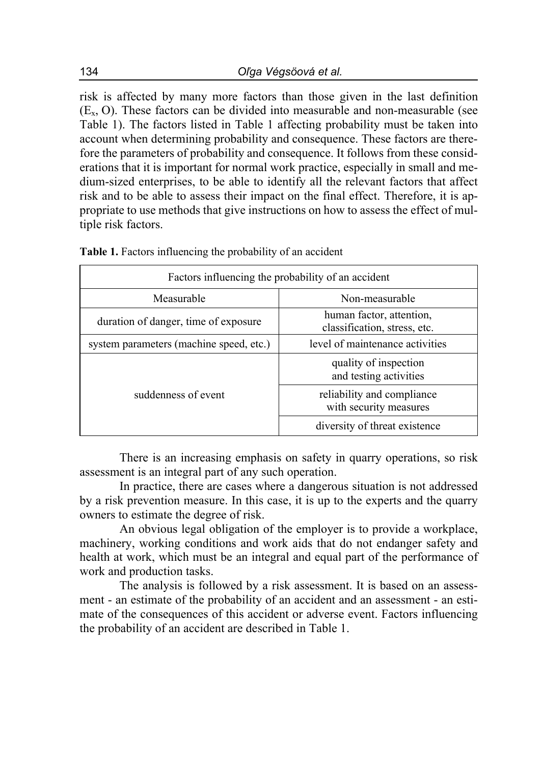risk is affected by many more factors than those given in the last definition  $(E<sub>x</sub>, O)$ . These factors can be divided into measurable and non-measurable (see Table 1). The factors listed in Table 1 affecting probability must be taken into account when determining probability and consequence. These factors are therefore the parameters of probability and consequence. It follows from these considerations that it is important for normal work practice, especially in small and medium-sized enterprises, to be able to identify all the relevant factors that affect risk and to be able to assess their impact on the final effect. Therefore, it is appropriate to use methods that give instructions on how to assess the effect of multiple risk factors.

| Factors influencing the probability of an accident |                                                          |  |  |
|----------------------------------------------------|----------------------------------------------------------|--|--|
| Measurable                                         | Non-measurable                                           |  |  |
| duration of danger, time of exposure               | human factor, attention,<br>classification, stress, etc. |  |  |
| system parameters (machine speed, etc.)            | level of maintenance activities                          |  |  |
|                                                    | quality of inspection<br>and testing activities          |  |  |
| suddenness of event                                | reliability and compliance<br>with security measures     |  |  |
|                                                    | diversity of threat existence                            |  |  |

There is an increasing emphasis on safety in quarry operations, so risk assessment is an integral part of any such operation.

In practice, there are cases where a dangerous situation is not addressed by a risk prevention measure. In this case, it is up to the experts and the quarry owners to estimate the degree of risk.

An obvious legal obligation of the employer is to provide a workplace, machinery, working conditions and work aids that do not endanger safety and health at work, which must be an integral and equal part of the performance of work and production tasks.

The analysis is followed by a risk assessment. It is based on an assessment - an estimate of the probability of an accident and an assessment - an estimate of the consequences of this accident or adverse event. Factors influencing the probability of an accident are described in Table 1.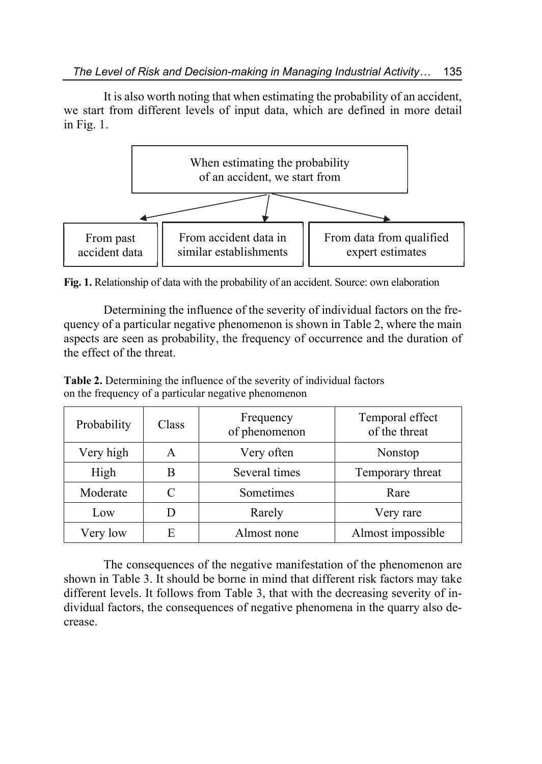It is also worth noting that when estimating the probability of an accident, we start from different levels of input data, which are defined in more detail in Fig. 1.



**Fig. 1.** Relationship of data with the probability of an accident. Source: own elaboration

Determining the influence of the severity of individual factors on the frequency of a particular negative phenomenon is shown in Table 2, where the main aspects are seen as probability, the frequency of occurrence and the duration of the effect of the threat.

| Probability | Class | Frequency<br>of phenomenon | Temporal effect<br>of the threat |
|-------------|-------|----------------------------|----------------------------------|
| Very high   | А     | Very often                 | Nonstop                          |
| High        | В     | Several times              | Temporary threat                 |
| Moderate    | C     | Sometimes                  | Rare                             |
| Low         | Ð     | Rarely                     | Very rare                        |
| Very low    | Е     | Almost none                | Almost impossible                |

**Table 2.** Determining the influence of the severity of individual factors on the frequency of a particular negative phenomenon

The consequences of the negative manifestation of the phenomenon are shown in Table 3. It should be borne in mind that different risk factors may take different levels. It follows from Table 3, that with the decreasing severity of individual factors, the consequences of negative phenomena in the quarry also decrease.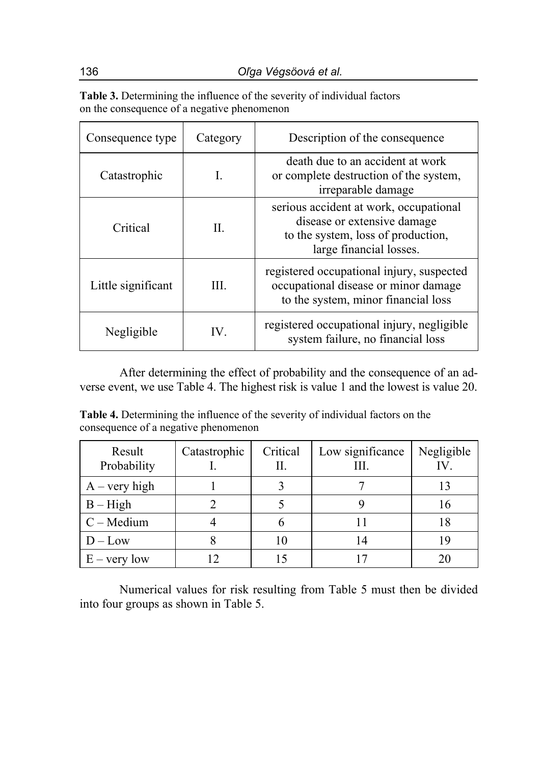| Table 3. Determining the influence of the severity of individual factors |
|--------------------------------------------------------------------------|
| on the consequence of a negative phenomenon                              |

| Consequence type   | Category | Description of the consequence                                                                                                         |  |
|--------------------|----------|----------------------------------------------------------------------------------------------------------------------------------------|--|
| Catastrophic       | Ι.       | death due to an accident at work<br>or complete destruction of the system,<br>irreparable damage                                       |  |
| Critical           | II.      | serious accident at work, occupational<br>disease or extensive damage<br>to the system, loss of production,<br>large financial losses. |  |
| Little significant | III.     | registered occupational injury, suspected<br>occupational disease or minor damage<br>to the system, minor financial loss               |  |
| Negligible         | IV.      | registered occupational injury, negligible<br>system failure, no financial loss                                                        |  |

After determining the effect of probability and the consequence of an adverse event, we use Table 4. The highest risk is value 1 and the lowest is value 20.

**Table 4.** Determining the influence of the severity of individual factors on the consequence of a negative phenomenon

| Result<br>Probability | Catastrophic | Critical<br>Н. | Low significance<br>HI. | Negligible |
|-----------------------|--------------|----------------|-------------------------|------------|
| $A - very high$       |              |                |                         |            |
| $B - High$            |              |                |                         |            |
| $C - Medium$          |              |                |                         |            |
| $D - Low$             |              | 10             |                         |            |
| $E - very low$        |              |                |                         |            |

Numerical values for risk resulting from Table 5 must then be divided into four groups as shown in Table 5.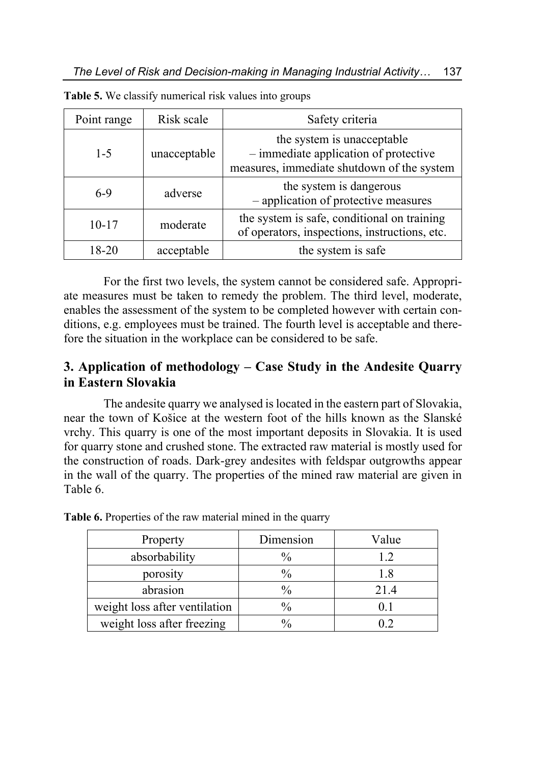| Point range | Risk scale   | Safety criteria                                                                                                     |
|-------------|--------------|---------------------------------------------------------------------------------------------------------------------|
| $1 - 5$     | unacceptable | the system is unacceptable<br>$-$ immediate application of protective<br>measures, immediate shutdown of the system |
| 6-9         | adverse      | the system is dangerous<br>- application of protective measures                                                     |
| $10 - 17$   | moderate     | the system is safe, conditional on training<br>of operators, inspections, instructions, etc.                        |
| 18-20       | acceptable   | the system is safe                                                                                                  |

**Table 5.** We classify numerical risk values into groups

For the first two levels, the system cannot be considered safe. Appropriate measures must be taken to remedy the problem. The third level, moderate, enables the assessment of the system to be completed however with certain conditions, e.g. employees must be trained. The fourth level is acceptable and therefore the situation in the workplace can be considered to be safe.

### **3. Application of methodology – Case Study in the Andesite Quarry in Eastern Slovakia**

The andesite quarry we analysed is located in the eastern part of Slovakia, near the town of Košice at the western foot of the hills known as the Slanské vrchy. This quarry is one of the most important deposits in Slovakia. It is used for quarry stone and crushed stone. The extracted raw material is mostly used for the construction of roads. Dark-grey andesites with feldspar outgrowths appear in the wall of the quarry. The properties of the mined raw material are given in Table 6.

| Property                      | Dimension     | Value |
|-------------------------------|---------------|-------|
| absorbability                 | $\frac{0}{0}$ | 1.2   |
| porosity                      | $\frac{0}{0}$ |       |
| abrasion                      | $\frac{0}{0}$ | 21.4  |
| weight loss after ventilation | $\frac{0}{0}$ |       |
| weight loss after freezing    | 0/2           |       |

**Table 6.** Properties of the raw material mined in the quarry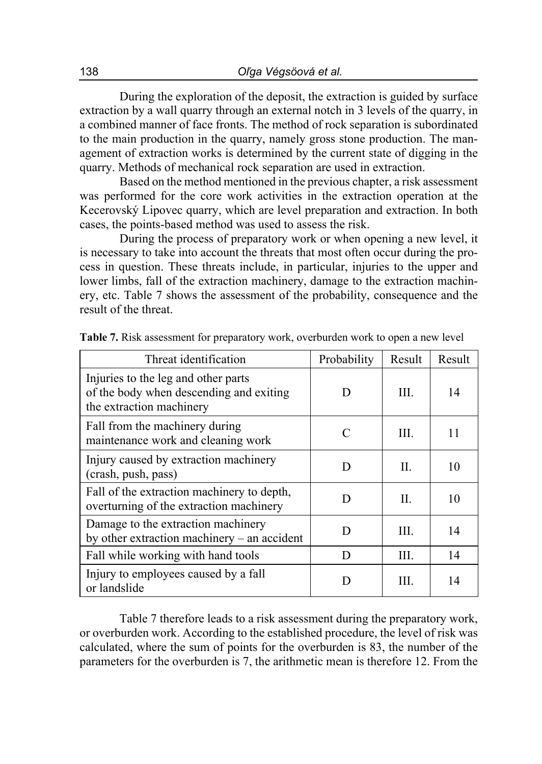During the exploration of the deposit, the extraction is guided by surface extraction by a wall quarry through an external notch in 3 levels of the quarry, in a combined manner of face fronts. The method of rock separation is subordinated to the main production in the quarry, namely gross stone production. The management of extraction works is determined by the current state of digging in the quarry. Methods of mechanical rock separation are used in extraction.

Based on the method mentioned in the previous chapter, a risk assessment was performed for the core work activities in the extraction operation at the Kecerovský Lipovec quarry, which are level preparation and extraction. In both cases, the points-based method was used to assess the risk.

During the process of preparatory work or when opening a new level, it is necessary to take into account the threats that most often occur during the process in question. These threats include, in particular, injuries to the upper and lower limbs, fall of the extraction machinery, damage to the extraction machinery, etc. Table 7 shows the assessment of the probability, consequence and the result of the threat.

| Threat identification                                                                                      | Probability | Result | Result |
|------------------------------------------------------------------------------------------------------------|-------------|--------|--------|
| Injuries to the leg and other parts<br>of the body when descending and exiting<br>the extraction machinery | D           | III.   | 14     |
| Fall from the machinery during<br>maintenance work and cleaning work                                       | C           | III.   | 11     |
| Injury caused by extraction machinery<br>(crash, push, pass)                                               | D           | П.     | 10     |
| Fall of the extraction machinery to depth,<br>overturning of the extraction machinery                      | וו          | H.     | 10     |
| Damage to the extraction machinery<br>by other extraction machinery $-$ an accident                        | וו          | III.   | 14     |
| Fall while working with hand tools                                                                         | D           | III.   | 14     |
| Injury to employees caused by a fall<br>or landslide                                                       |             | Ш.     | 14     |

**Table 7.** Risk assessment for preparatory work, overburden work to open a new level

Table 7 therefore leads to a risk assessment during the preparatory work, or overburden work. According to the established procedure, the level of risk was calculated, where the sum of points for the overburden is 83, the number of the parameters for the overburden is 7, the arithmetic mean is therefore 12. From the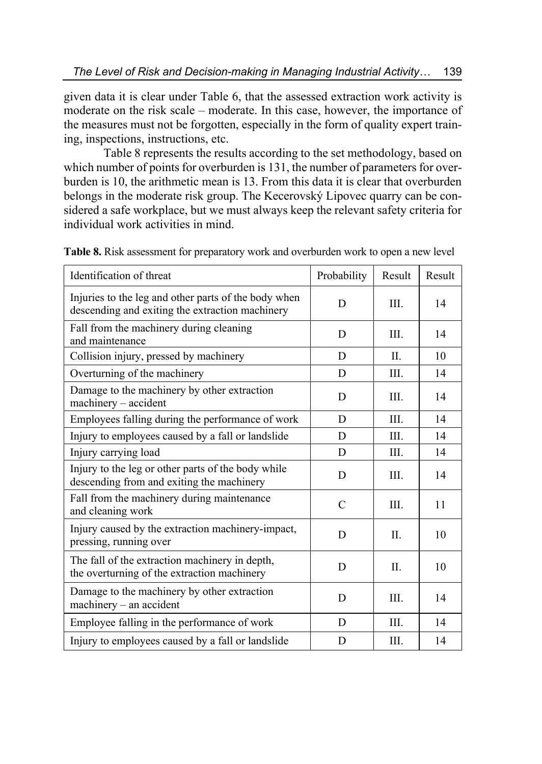given data it is clear under Table 6, that the assessed extraction work activity is moderate on the risk scale – moderate. In this case, however, the importance of the measures must not be forgotten, especially in the form of quality expert training, inspections, instructions, etc.

Table 8 represents the results according to the set methodology, based on which number of points for overburden is 131, the number of parameters for overburden is 10, the arithmetic mean is 13. From this data it is clear that overburden belongs in the moderate risk group. The Kecerovský Lipovec quarry can be considered a safe workplace, but we must always keep the relevant safety criteria for individual work activities in mind.

| Identification of threat                                                                                | Probability   | Result  | Result |
|---------------------------------------------------------------------------------------------------------|---------------|---------|--------|
| Injuries to the leg and other parts of the body when<br>descending and exiting the extraction machinery | D             | III.    | 14     |
| Fall from the machinery during cleaning<br>and maintenance                                              | D             | III.    | 14     |
| Collision injury, pressed by machinery                                                                  | D             | II.     | 10     |
| Overturning of the machinery                                                                            | D             | III.    | 14     |
| Damage to the machinery by other extraction<br>machinery - accident                                     | D             | III.    | 14     |
| Employees falling during the performance of work                                                        | D             | III.    | 14     |
| Injury to employees caused by a fall or landslide                                                       | D             | III.    | 14     |
| Injury carrying load                                                                                    | D             | III.    | 14     |
| Injury to the leg or other parts of the body while<br>descending from and exiting the machinery         | D             | III.    | 14     |
| Fall from the machinery during maintenance<br>and cleaning work                                         | $\mathcal{C}$ | III.    | 11     |
| Injury caused by the extraction machinery-impact,<br>pressing, running over                             | D             | $\Pi$ . | 10     |
| The fall of the extraction machinery in depth,<br>the overturning of the extraction machinery           | D             | II.     | 10     |
| Damage to the machinery by other extraction<br>machinery - an accident                                  | D             | III.    | 14     |
| Employee falling in the performance of work                                                             | D             | III.    | 14     |
| Injury to employees caused by a fall or landslide                                                       | D             | III.    | 14     |

**Table 8.** Risk assessment for preparatory work and overburden work to open a new level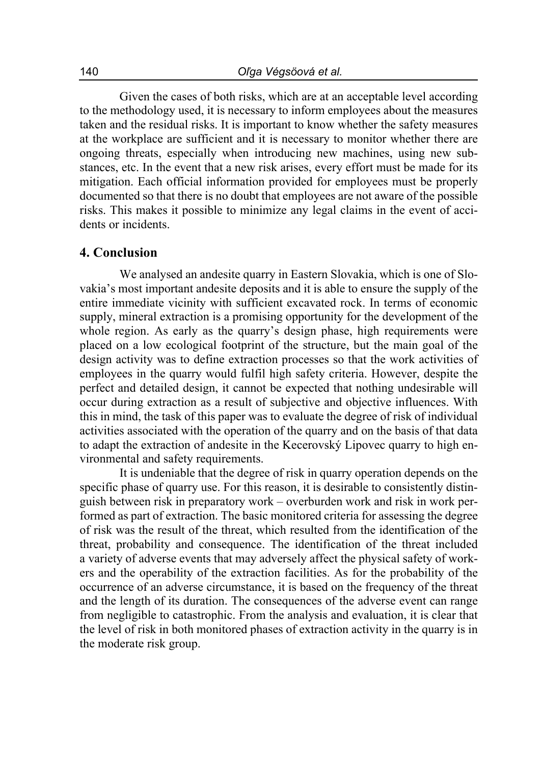Given the cases of both risks, which are at an acceptable level according to the methodology used, it is necessary to inform employees about the measures taken and the residual risks. It is important to know whether the safety measures at the workplace are sufficient and it is necessary to monitor whether there are ongoing threats, especially when introducing new machines, using new substances, etc. In the event that a new risk arises, every effort must be made for its mitigation. Each official information provided for employees must be properly documented so that there is no doubt that employees are not aware of the possible risks. This makes it possible to minimize any legal claims in the event of accidents or incidents.

### **4. Conclusion**

We analysed an andesite quarry in Eastern Slovakia, which is one of Slovakia's most important andesite deposits and it is able to ensure the supply of the entire immediate vicinity with sufficient excavated rock. In terms of economic supply, mineral extraction is a promising opportunity for the development of the whole region. As early as the quarry's design phase, high requirements were placed on a low ecological footprint of the structure, but the main goal of the design activity was to define extraction processes so that the work activities of employees in the quarry would fulfil high safety criteria. However, despite the perfect and detailed design, it cannot be expected that nothing undesirable will occur during extraction as a result of subjective and objective influences. With this in mind, the task of this paper was to evaluate the degree of risk of individual activities associated with the operation of the quarry and on the basis of that data to adapt the extraction of andesite in the Kecerovský Lipovec quarry to high environmental and safety requirements.

It is undeniable that the degree of risk in quarry operation depends on the specific phase of quarry use. For this reason, it is desirable to consistently distinguish between risk in preparatory work – overburden work and risk in work performed as part of extraction. The basic monitored criteria for assessing the degree of risk was the result of the threat, which resulted from the identification of the threat, probability and consequence. The identification of the threat included a variety of adverse events that may adversely affect the physical safety of workers and the operability of the extraction facilities. As for the probability of the occurrence of an adverse circumstance, it is based on the frequency of the threat and the length of its duration. The consequences of the adverse event can range from negligible to catastrophic. From the analysis and evaluation, it is clear that the level of risk in both monitored phases of extraction activity in the quarry is in the moderate risk group.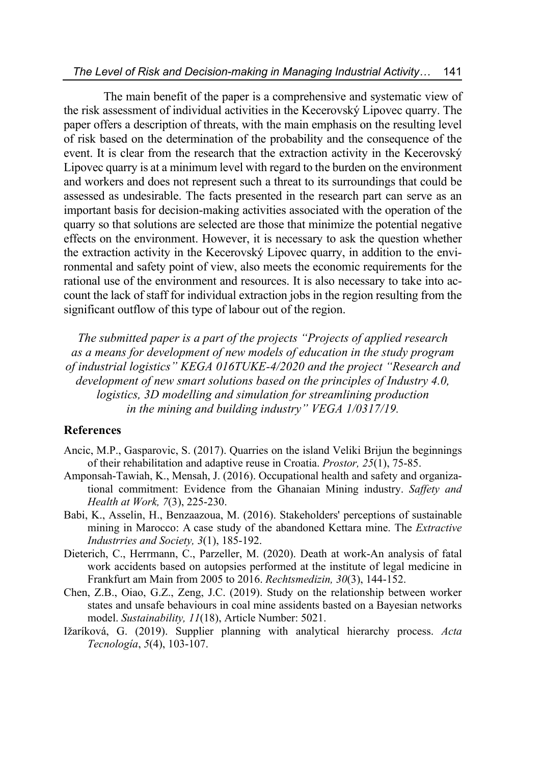The main benefit of the paper is a comprehensive and systematic view of the risk assessment of individual activities in the Kecerovský Lipovec quarry. The paper offers a description of threats, with the main emphasis on the resulting level of risk based on the determination of the probability and the consequence of the event. It is clear from the research that the extraction activity in the Kecerovský Lipovec quarry is at a minimum level with regard to the burden on the environment and workers and does not represent such a threat to its surroundings that could be assessed as undesirable. The facts presented in the research part can serve as an important basis for decision-making activities associated with the operation of the quarry so that solutions are selected are those that minimize the potential negative effects on the environment. However, it is necessary to ask the question whether the extraction activity in the Kecerovský Lipovec quarry, in addition to the environmental and safety point of view, also meets the economic requirements for the rational use of the environment and resources. It is also necessary to take into account the lack of staff for individual extraction jobs in the region resulting from the significant outflow of this type of labour out of the region.

*The submitted paper is a part of the projects "Projects of applied research as a means for development of new models of education in the study program of industrial logistics" KEGA 016TUKE-4/2020 and the project "Research and development of new smart solutions based on the principles of Industry 4.0, logistics, 3D modelling and simulation for streamlining production in the mining and building industry" VEGA 1/0317/19.* 

### **References**

- Ancic, M.P., Gasparovic, S. (2017). Quarries on the island Veliki Brijun the beginnings of their rehabilitation and adaptive reuse in Croatia. *Prostor, 25*(1), 75-85.
- Amponsah-Tawiah, K., Mensah, J. (2016). Occupational health and safety and organizational commitment: Evidence from the Ghanaian Mining industry. *Saffety and Health at Work, 7*(3), 225-230.
- Babi, K., Asselin, H., Benzaazoua, M. (2016). Stakeholders' perceptions of sustainable mining in Marocco: A case study of the abandoned Kettara mine. The *Extractive Industrries and Society, 3*(1), 185-192.
- Dieterich, C., Herrmann, C., Parzeller, M. (2020). Death at work-An analysis of fatal work accidents based on autopsies performed at the institute of legal medicine in Frankfurt am Main from 2005 to 2016. *Rechtsmedizin, 30*(3), 144-152.
- Chen, Z.B., Oiao, G.Z., Zeng, J.C. (2019). Study on the relationship between worker states and unsafe behaviours in coal mine assidents basted on a Bayesian networks model. *Sustainability, 11*(18), Article Number: 5021.
- Ižaríková, G. (2019). Supplier planning with analytical hierarchy process. *Acta Tecnología*, *5*(4), 103-107.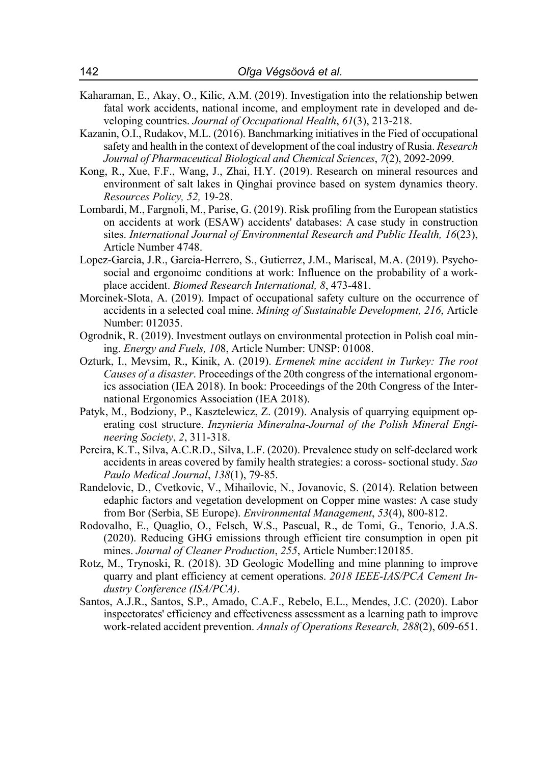- Kaharaman, E., Akay, O., Kilic, A.M. (2019). Investigation into the relationship betwen fatal work accidents, national income, and employment rate in developed and developing countries. *Journal of Occupational Health*, *61*(3), 213-218.
- Kazanin, O.I., Rudakov, M.L. (2016). Banchmarking initiatives in the Fied of occupational safety and health in the context of development of the coal industry of Rusia. *Research Journal of Pharmaceutical Biological and Chemical Sciences*, *7*(2), 2092-2099.
- Kong, R., Xue, F.F., Wang, J., Zhai, H.Y. (2019). Research on mineral resources and environment of salt lakes in Qinghai province based on system dynamics theory. *Resources Policy, 52,* 19-28.
- Lombardi, M., Fargnoli, M., Parise, G. (2019). Risk profiling from the European statistics on accidents at work (ESAW) accidents' databases: A case study in construction sites. *International Journal of Environmental Research and Public Health, 16*(23), Article Number 4748.
- Lopez-Garcia, J.R., Garcia-Herrero, S., Gutierrez, J.M., Mariscal, M.A. (2019). Psychosocial and ergonoimc conditions at work: Influence on the probability of a workplace accident. *Biomed Research International, 8*, 473-481.
- Morcinek-Slota, A. (2019). Impact of occupational safety culture on the occurrence of accidents in a selected coal mine. *Mining of Sustainable Development, 216*, Article Number: 012035.
- Ogrodnik, R. (2019). Investment outlays on environmental protection in Polish coal mining. *Energy and Fuels, 10*8, Article Number: UNSP: 01008.
- Ozturk, I., Mevsim, R., Kinik, A. (2019). *Ermenek mine accident in Turkey: The root Causes of a disaster*. Proceedings of the 20th congress of the international ergonomics association (IEA 2018). In book: Proceedings of the 20th Congress of the International Ergonomics Association (IEA 2018).
- Patyk, M., Bodziony, P., Kasztelewicz, Z. (2019). Analysis of quarrying equipment operating cost structure. *Inzynieria Mineralna-Journal of the Polish Mineral Engineering Society*, *2*, 311-318.
- Pereira, K.T., Silva, A.C.R.D., Silva, L.F. (2020). Prevalence study on self-declared work accidents in areas covered by family health strategies: a coross- soctional study. *Sao Paulo Medical Journal*, *138*(1), 79-85.
- Randelovic, D., Cvetkovic, V., Mihailovic, N., Jovanovic, S. (2014). Relation between edaphic factors and vegetation development on Copper mine wastes: A case study from Bor (Serbia, SE Europe). *Environmental Management*, *53*(4), 800-812.
- Rodovalho, E., Quaglio, O., Felsch, W.S., Pascual, R., de Tomi, G., Tenorio, J.A.S. (2020). Reducing GHG emissions through efficient tire consumption in open pit mines. *Journal of Cleaner Production*, *255*, Article Number:120185.
- Rotz, M., Trynoski, R. (2018). 3D Geologic Modelling and mine planning to improve quarry and plant efficiency at cement operations. *2018 IEEE-IAS/PCA Cement Industry Conference (ISA/PCA)*.
- Santos, A.J.R., Santos, S.P., Amado, C.A.F., Rebelo, E.L., Mendes, J.C. (2020). Labor inspectorates' efficiency and effectiveness assessment as a learning path to improve work-related accident prevention. *Annals of Operations Research, 288*(2), 609-651.